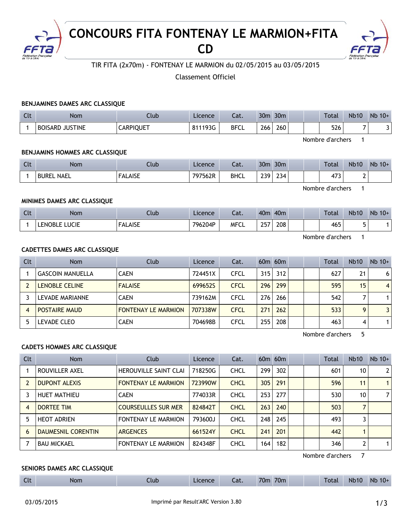

# **CONCOURS FITA FONTENAY LE MARMION+FITA CD**



# TIR FITA (2x70m) - FONTENAY LE MARMION du 02/05/2015 au 03/05/2015

Classement Officiel

# **BENJAMINES DAMES ARC CLASSIQUE**

| Clt | Nom                              | Club             | Licence | Lat.        | 30 <sub>m</sub> | 30 <sub>m</sub> | <b>Total</b> | <b>Nb10</b> | $Nb$ 10+ |
|-----|----------------------------------|------------------|---------|-------------|-----------------|-----------------|--------------|-------------|----------|
|     | <b>BOISARD</b><br><b>JUSTINE</b> | <b>CARPIQUET</b> | 811193G | <b>BFCL</b> | 266             | 260             | 526          |             |          |

Nombre d'archers 1

#### **BENJAMINS HOMMES ARC CLASSIQUE**

| Clt | Nom           | Club           | Licence | $\sim$<br>cal. | 30 <sub>m</sub> | 30 <sub>m</sub> |  | <b>Total</b>    | <b>Nb10</b> | Nb<br>$10+$ |
|-----|---------------|----------------|---------|----------------|-----------------|-----------------|--|-----------------|-------------|-------------|
|     | NAEL<br>BUREL | <b>FALAISE</b> | 797562R | <b>BHCL</b>    | 230<br>ـ ـ      | 234             |  | $1 - 2$<br>11 J | -           |             |

Nombre d'archers 1

## **MINIMES DAMES ARC CLASSIQUE**

| $\Gamma$<br><b>LIL</b> | Nom              | Ilub                             | Licence | - 1<br>cal. | 40 <sub>m</sub> | 40 <sub>m</sub> |  | Total | <b>Nb10</b> | <b>Nb</b><br>$10+$ |
|------------------------|------------------|----------------------------------|---------|-------------|-----------------|-----------------|--|-------|-------------|--------------------|
|                        | LUCIE<br>' ENOBL | $\Lambda$ ICE<br>ALAIJE<br>_____ | 796204P | <b>MFCL</b> | つにつ<br>$\sim$   | 208<br>$\sim$   |  | 465   | $\sim$      |                    |

Nombre d'archers 1

# **CADETTES DAMES ARC CLASSIQUE**

| Clt | <b>Nom</b>              | Club                       | Licence | Cat.        |     | $60m$ $60m$ |  | Total | <b>Nb10</b>  | $Nb$ 10+       |
|-----|-------------------------|----------------------------|---------|-------------|-----|-------------|--|-------|--------------|----------------|
|     | <b>GASCOIN MANUELLA</b> | <b>CAEN</b>                | 724451X | <b>CFCL</b> | 315 | 312         |  | 627   | 21           | 6              |
|     | <b>LENOBLE CELINE</b>   | <b>FALAISE</b>             | 699652S | <b>CFCL</b> | 296 | 299         |  | 595   | 15           | $\overline{4}$ |
|     | LEVADE MARIANNE         | <b>CAEN</b>                | 739162M | <b>CFCL</b> | 276 | 266         |  | 542   |              | 1              |
|     | <b>POSTAIRE MAUD</b>    | <b>FONTENAY LE MARMION</b> | 707338W | <b>CFCL</b> | 271 | 262         |  | 533   | $\mathbf{Q}$ | 3              |
|     | LEVADE CLEO             | <b>CAEN</b>                | 704698B | <b>CFCL</b> | 255 | 208         |  | 463   | 4            | 1              |

Nombre d'archers 5

# **CADETS HOMMES ARC CLASSIQUE**

| <b>Clt</b> | <b>Nom</b>                | Club                         | Licence | Cat.        |     | $60m$ $60m$ |  | Total | <b>Nb10</b>     | $Nb$ 10+       |
|------------|---------------------------|------------------------------|---------|-------------|-----|-------------|--|-------|-----------------|----------------|
|            | ROUVILLER AXEL            | <b>HEROUVILLE SAINT CLAI</b> | 718250G | <b>CHCL</b> | 299 | 302         |  | 601   | 10 <sup>°</sup> | 2 <sup>1</sup> |
|            | <b>DUPONT ALEXIS</b>      | <b>FONTENAY LE MARMION</b>   | 723990W | <b>CHCL</b> | 305 | 291         |  | 596   | 11              | 1 <sup>1</sup> |
|            | <b>HUET MATHIEU</b>       | <b>CAEN</b>                  | 774033R | <b>CHCL</b> | 253 | 277         |  | 530   | 10              | 7              |
| 4          | DORTEE TIM                | <b>COURSEULLES SUR MER</b>   | 824842T | <b>CHCL</b> | 263 | 240         |  | 503   |                 |                |
| 5          | <b>HEOT ADRIEN</b>        | <b>FONTENAY LE MARMION</b>   | 793600J | <b>CHCL</b> | 248 | 245         |  | 493   |                 |                |
| 6          | <b>DAUMESNIL CORENTIN</b> | <b>ARGENCES</b>              | 661524Y | <b>CHCL</b> | 241 | 201         |  | 442   |                 |                |
|            | <b>BAU MICKAEL</b>        | <b>FONTENAY LE MARMION</b>   | 824348F | <b>CHCL</b> | 164 | 182         |  | 346   | 2               | 1 <sup>1</sup> |

Nombre d'archers 7

#### **SENIORS DAMES ARC CLASSIQUE**

| $\sim$<br>70 <sub>m</sub><br>70 <sub>m</sub><br><b>Nb10</b><br><b>Nb</b><br>$10+$<br>Total<br>Licence<br><b>Nom</b><br>Cat.<br>.lub<br>$-$ |
|--------------------------------------------------------------------------------------------------------------------------------------------|
|--------------------------------------------------------------------------------------------------------------------------------------------|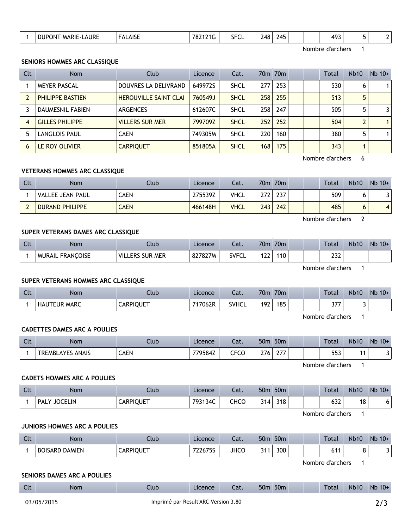| AURE<br>MARIE-L<br>эı<br>JPON | AICF<br>¬ືື | 78. | ---<br>Ы.<br>◡└<br>$  -$ | ∕∆2<br>- 10<br>. .<br>$\sim$ | א⊿י<br>. .<br>__ |  | $AQ^{\sim}$<br>.<br>___ | - | . . |
|-------------------------------|-------------|-----|--------------------------|------------------------------|------------------|--|-------------------------|---|-----|
|                               |             |     |                          |                              |                  |  |                         |   |     |

Nombre d'archers 1

#### **SENIORS HOMMES ARC CLASSIQUE**

| Clt | <b>Nom</b>              | Club                         | Licence | Cat.        |                  | 70 <sub>m</sub> 70 <sub>m</sub> |  | Total | <b>Nb10</b> | $Nb$ 10+       |
|-----|-------------------------|------------------------------|---------|-------------|------------------|---------------------------------|--|-------|-------------|----------------|
|     | <b>MEYER PASCAL</b>     | DOUVRES LA DELIVRAND         | 649972S | <b>SHCL</b> | 277              | 253                             |  | 530   | 6           | 1              |
|     | PHILIPPE BASTIEN        | <b>HEROUVILLE SAINT CLAI</b> | 760549J | <b>SHCL</b> | 258              | 255                             |  | 513   | 5           |                |
|     | <b>DAUMESNIL FABIEN</b> | <b>ARGENCES</b>              | 612607C | <b>SHCL</b> | 258              | 247                             |  | 505   | 5           | 31             |
| 4   | <b>GILLES PHILIPPE</b>  | <b>VILLERS SUR MER</b>       | 799709Z | <b>SHCL</b> | 252 <sub>1</sub> | 252                             |  | 504   |             | 1 <sup>1</sup> |
| 5.  | LANGLOIS PAUL           | <b>CAEN</b>                  | 749305M | <b>SHCL</b> | 220              | 160                             |  | 380   | 5           |                |
| 6   | LE ROY OLIVIER          | <b>CARPIQUET</b>             | 851805A | <b>SHCL</b> | 168              | 175                             |  | 343   |             |                |

Nombre d'archers 6

## **VETERANS HOMMES ARC CLASSIQUE**

| Clt | <b>Nom</b>              | Club        | Licence | Cat.        |     | 70m 70m |  | <b>Total</b> | <b>Nb10</b> | $Nb$ 10+ |
|-----|-------------------------|-------------|---------|-------------|-----|---------|--|--------------|-------------|----------|
|     | <b>VALLEE JEAN PAUL</b> | ิ AEN       | 275539Z | <b>VHCL</b> | רדר | 237     |  | 509          |             | J        |
|     | <b>DURAND PHILIPPE</b>  | <b>CAEN</b> | 466148H | <b>VHCL</b> | 243 | 242     |  | 485          |             | 4        |

Nombre d'archers 2

#### **SUPER VETERANS DAMES ARC CLASSIQUE**

| Clt | Nom                               | lub.                                        | Licence | - - 1<br>cal. | 70m                      | 70 <sub>m</sub> |  | <b>Total</b>  | <b>Nb10</b> | $Nb$ 10+ |
|-----|-----------------------------------|---------------------------------------------|---------|---------------|--------------------------|-----------------|--|---------------|-------------|----------|
|     | <b>FRANCOISE</b><br><b>MURAIL</b> | <b>SUR</b><br>' VIL.<br>' MER<br><b>ERS</b> | 827827M | <b>SVFCL</b>  | $\overline{\phantom{a}}$ | 10              |  | $\sim$<br>LJL |             |          |

Nombre d'archers 1

#### **SUPER VETERANS HOMMES ARC CLASSIQUE**

| Clt | <b>Nom</b>                    | Llub.            | Licence | Cat.         | 70m | 70m |  | <b>Total</b> | <b>Nb10</b> | Nb<br>$10+$ |
|-----|-------------------------------|------------------|---------|--------------|-----|-----|--|--------------|-------------|-------------|
|     | <b>MARC</b><br><b>HAUTEUR</b> | <b>_ARPIQUET</b> | 717062R | <b>SVHCL</b> | 192 | 185 |  | つフフ<br>J I I |             |             |

Nombre d'archers 1

# **CADETTES DAMES ARC A POULIES**

| $\mathsf{C}$<br>ાા | Nom                        | <u>_lub</u> | Licence | Cat. | 50 <sub>m</sub> | 50 <sub>m</sub>             |  | <b>Total</b> | <b>Nb10</b> | Nb<br>$10+$ |
|--------------------|----------------------------|-------------|---------|------|-----------------|-----------------------------|--|--------------|-------------|-------------|
|                    | ANAIS<br><b>TREMBLAYES</b> | <b>CAEN</b> | 779584Z | CFCO | 276.            | $\sim$ $\rightarrow$ $\sim$ |  | ににつ<br>ມມມ   | -           |             |

Nombre d'archers 1

## **CADETS HOMMES ARC A POULIES**

| <b>Clt</b> | Nom                    | Ilub             | Licence | Cat. | 50 <sub>m</sub> | 50 <sub>m</sub>               |  | <b>Total</b> | <b>Nb10</b> | $Nb$ 10+ |
|------------|------------------------|------------------|---------|------|-----------------|-------------------------------|--|--------------|-------------|----------|
|            | <b>JOCELIN</b><br>PALY | <b>CARPIQUET</b> | 793134C | снсо | 314             | र18। $\overline{\phantom{0}}$ |  | 632          | 18          |          |

Nombre d'archers 1

#### **JUNIORS HOMMES ARC A POULIES**

| Clt | Nom                             | Llub.            | Licence | Cat.        | 50 <sub>m</sub> | 50 <sub>m</sub> |  | Total | <b>Nb10</b> | <b>N<sub>b</sub></b><br>$10+$ |
|-----|---------------------------------|------------------|---------|-------------|-----------------|-----------------|--|-------|-------------|-------------------------------|
|     | <b>BOISARD</b><br><b>DAMIEN</b> | <b>CARPIQUET</b> | 722675S | <b>JHCO</b> | 211<br>J I I    | 300             |  | 611   | ີ           |                               |

Nombre d'archers 1

#### **SENIORS DAMES ARC A POULIES**

| นเ | Nom | Llub. | Licence | Cat. | 50 <sub>m</sub><br>50 <sub>m</sub> | <b>Total</b> | <b>Nb10</b> | Nb 10+ |
|----|-----|-------|---------|------|------------------------------------|--------------|-------------|--------|
|    |     |       |         |      |                                    |              |             |        |